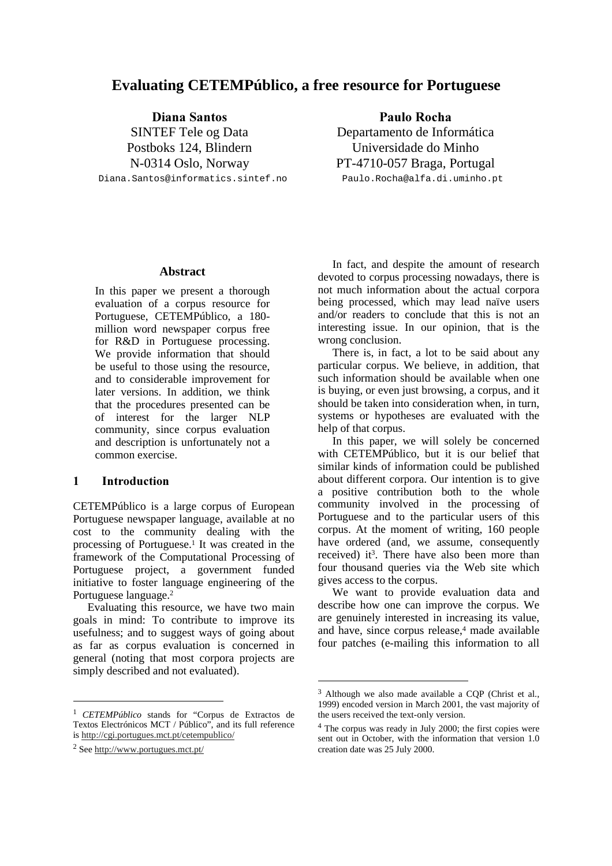# **Evaluating CETEMPúblico, a free resource for Portuguese**

Diana Santos SINTEF Tele og Data Postboks 124, Blindern N-0314 Oslo, Norway Diana.Santos@informatics.sintef.no

Paulo Rocha Departamento de Informática Universidade do Minho PT-4710-057 Braga, Portugal Paulo.Rocha@alfa.di.uminho.pt

**Abstract**

In this paper we present a thorough evaluation of a corpus resource for Portuguese, CETEMPúblico, a 180 million word newspaper corpus free for R&D in Portuguese processing. We provide information that should be useful to those using the resource, and to considerable improvement for later versions. In addition, we think that the procedures presented can be of interest for the larger NLP community, since corpus evaluation and description is unfortunately not a common exercise.

### 1 Introduction

CETEMPúblico is a large corpus of European Portuguese newspaper language, available at no cost to the community dealing with the processing of Portuguese. 1 It was created in the framework of the Computational Processing of Portuguese project, a government funded initiative to foster language engineering of the Portuguese language. 2

Evaluating this resource, we have two main goals in mind: To contribute to improve its usefulness; and to suggest ways of going about as far as corpus evaluation is concerned in general (noting that most corpora projects are simply described and not evaluated).

1

In fact, and despite the amount of research devoted to corpus processing nowadays, there is not much information about the actual corpora being processed, which may lead naïve users and/or readers to conclude that this is not an interesting issue. In our opinion, that is the wrong conclusion.

There is, in fact, a lot to be said about any particular corpus. We believe, in addition, that such information should be available when one is buying, or even just browsing, a corpus, and it should be taken into consideration when, in turn, systems or hypotheses are evaluated with the help of that corpus.

In this paper, we will solely be concerned with CETEMPúblico, but it is our belief that similar kinds of information could be published about different corpora. Our intention is to give a positive contribution both to the whole community involved in the processing of Portuguese and to the particular users of this corpus. At the moment of writing, 160 people have ordered (and, we assume, consequently received) it 3 . There have also been more than four thousand queries via the Web site which gives access to the corpus.

We want to provide evaluation data and describe how one can improve the corpus. We are genuinely interested in increasing its value, and have, since corpus release, <sup>4</sup> made available four patches (e-mailing this information to all

<sup>1</sup> *CETEMPúblico* stands for "Corpus de Extractos de Textos Electrónicos MCT / Público", and its full reference is http://cgi.portugues.mct.pt/cetempublico/

<sup>2</sup> See http://www.portugues.mct.pt/

<sup>3</sup> Although we also made available a CQP (Christ et al., 1999) encoded version in March 2001, the vast majority of the users received the text-only version.

<sup>4</sup> The corpus was ready in July 2000; the first copies were sent out in October, with the information that version 1.0 creation date was 25 July 2000.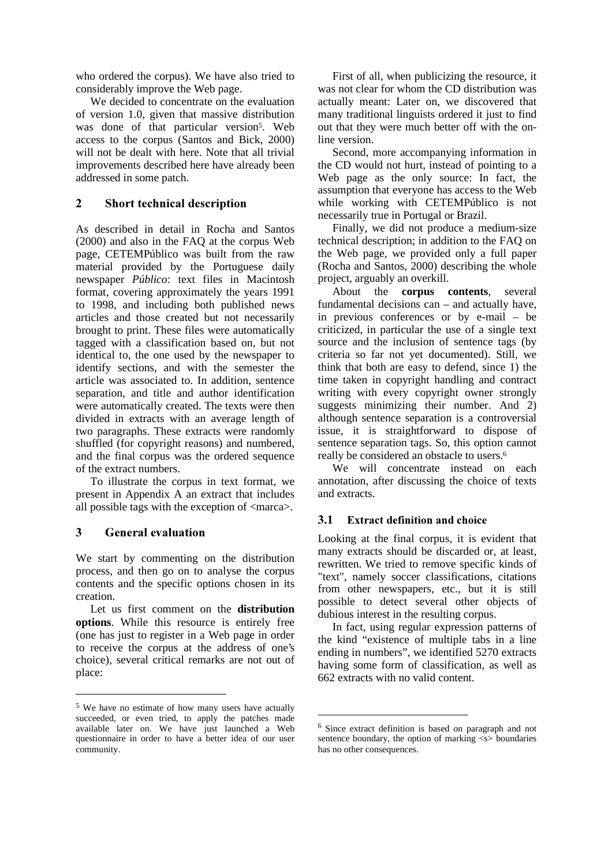who ordered the corpus). We have also tried to considerably improve the Web page.

We decided to concentrate on the evaluation of version 1.0, given that massive distribution was done of that particular version<sup>5</sup>. Web access to the corpus (Santos and Bick, 2000) will not be dealt with here. Note that all trivial improvements described here have already been addressed in some patch.

# 2 Short technical description

As described in detail in Rocha and Santos (2000) and also in the FAQ at the corpus Web page, CETEMPúblico was built from the raw material provided by the Portuguese daily newspaper *Público*: text files in Macintosh format, covering approximately the years 1991 to 1998, and including both published news articles and those created but not necessarily brought to print. These files were automatically tagged with a classification based on, but not identical to, the one used by the newspaper to identify sections, and with the semester the article was associated to. In addition, sentence separation, and title and author identification were automatically created. The texts were then divided in extracts with an average length of two paragraphs. These extracts were randomly shuffled (for copyright reasons) and numbered, and the final corpus was the ordered sequence of the extract numbers.

To illustrate the corpus in text format, we present in Appendix A an extract that includes all possible tags with the exception of <marca>.

# 3 General evaluation

1

We start by commenting on the distribution process, and then go on to analyse the corpus contents and the specific options chosen in its creation.

Let us first comment on the **distribution options**. While this resource is entirely free (one has just to register in a Web page in order to receive the corpus at the address of one's choice), several critical remarks are not out of place:

First of all, when publicizing the resource, it was not clear for whom the CD distribution was actually meant: Later on, we discovered that many traditional linguists ordered it just to find out that they were much better off with the online version.

Second, more accompanying information in the CD would not hurt, instead of pointing to a Web page as the only source: In fact, the assumption that everyone has access to the Web while working with CETEMPúblico is not necessarily true in Portugal or Brazil.

Finally, we did not produce a medium-size technical description; in addition to the FAQ on the Web page, we provided only a full paper (Rocha and Santos, 2000) describing the whole project, arguably an overkill.

About the **corpus contents**, several fundamental decisions can – and actually have, in previous conferences or by e-mail – be criticized, in particular the use of a single text source and the inclusion of sentence tags (by criteria so far not yet documented). Still, we think that both are easy to defend, since 1) the time taken in copyright handling and contract writing with every copyright owner strongly suggests minimizing their number. And 2) although sentence separation is a controversial issue, it is straightforward to dispose of sentence separation tags. So, this option cannot really be considered an obstacle to users. 6

We will concentrate instead on each annotation, after discussing the choice of texts and extracts.

## 3.1 Extract definition and choice

Looking at the final corpus, it is evident that many extracts should be discarded or, at least, rewritten. We tried to remove specific kinds of "text", namely soccer classifications, citations from other newspapers, etc., but it is still possible to detect several other objects of dubious interest in the resulting corpus.

In fact, using regular expression patterns of the kind "existence of multiple tabs in a line ending in numbers", we identified 5270 extracts having some form of classification, as well as 662 extracts with no valid content.

<sup>5</sup> We have no estimate of how many users have actually succeeded, or even tried, to apply the patches made available later on. We have just launched a Web questionnaire in order to have a better idea of our user community.

<sup>6</sup> Since extract definition is based on paragraph and not sentence boundary, the option of marking  $\langle s \rangle$  boundaries has no other consequences.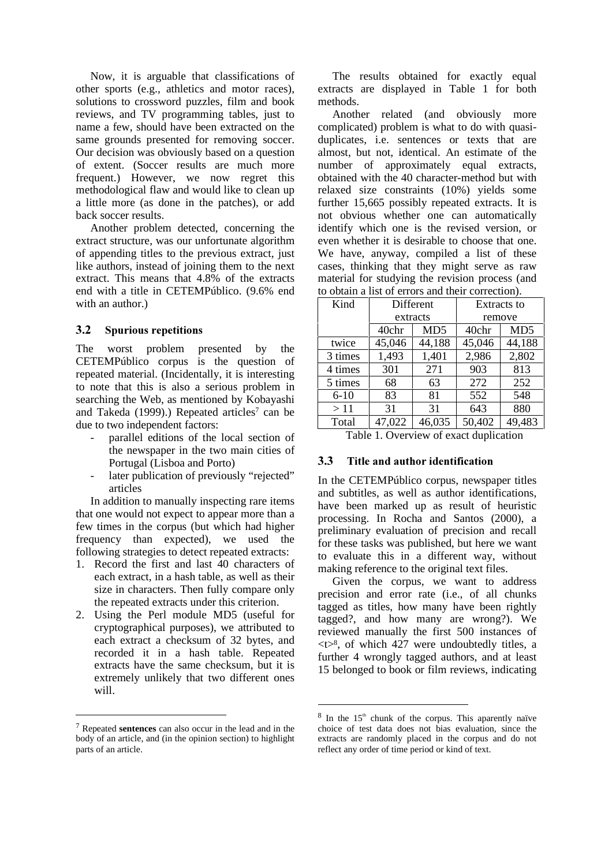Now, it is arguable that classifications of other sports (e.g., athletics and motor races), solutions to crossword puzzles, film and book reviews, and TV programming tables, just to name a few, should have been extracted on the same grounds presented for removing soccer. Our decision was obviously based on a question of extent. (Soccer results are much more frequent.) However, we now regret this methodological flaw and would like to clean up a little more (as done in the patches), or add back soccer results.

Another problem detected, concerning the extract structure, was our unfortunate algorithm of appending titles to the previous extract, just like authors, instead of joining them to the next extract. This means that 4.8% of the extracts end with a title in CETEMPúblico. (9.6% end with an author.)

## 3.2 Spurious repetitions

The worst problem presented by the CETEMPúblico corpus is the question of repeated material. (Incidentally, it is interesting to note that this is also a serious problem in searching the Web, as mentioned by Kobayashi and Takeda (1999).) Repeated articles <sup>7</sup> can be due to two independent factors:

- parallel editions of the local section of the newspaper in the two main cities of Portugal (Lisboa and Porto)
- later publication of previously "rejected" articles

In addition to manually inspecting rare items that one would not expect to appear more than a few times in the corpus (but which had higher frequency than expected), we used the following strategies to detect repeated extracts:

- 1. Record the first and last 40 characters of each extract, in a hash table, as well as their size in characters. Then fully compare only the repeated extracts under this criterion.
- 2. Using the Perl module MD5 (useful for cryptographical purposes), we attributed to each extract a checksum of 32 bytes, and recorded it in a hash table. Repeated extracts have the same checksum, but it is extremely unlikely that two different ones will.

-

The results obtained for exactly equal extracts are displayed in Table 1 for both methods.

Another related (and obviously more complicated) problem is what to do with quasiduplicates, i.e. sentences or texts that are almost, but not, identical. An estimate of the number of approximately equal extracts, obtained with the 40 character-method but with relaxed size constraints (10%) yields some further 15,665 possibly repeated extracts. It is not obvious whether one can automatically identify which one is the revised version, or even whether it is desirable to choose that one. We have, anyway, compiled a list of these cases, thinking that they might serve as raw material for studying the revision process (and to obtain a list of errors and their correction).

| Kind                                   | Different |                 | <b>Extracts to</b> |                 |
|----------------------------------------|-----------|-----------------|--------------------|-----------------|
|                                        | extracts  |                 | remove             |                 |
|                                        | 40chr     | MD <sub>5</sub> | 40chr              | MD <sub>5</sub> |
| twice                                  | 45,046    | 44,188          | 45,046             | 44,188          |
| 3 times                                | 1,493     | 1,401           | 2,986              | 2,802           |
| 4 times                                | 301       | 271             | 903                | 813             |
| 5 times                                | 68        | 63              | 272                | 252             |
| $6 - 10$                               | 83        | 81              | 552                | 548             |
| >11                                    | 31        | 31              | 643                | 880             |
| Total                                  | 47,022    | 46,035          | 50,402             | 49,483          |
| Table 1. Overview of exact duplication |           |                 |                    |                 |

# 3.3 Title and author identification

In the CETEMPúblico corpus, newspaper titles and subtitles, as well as author identifications, have been marked up as result of heuristic processing. In Rocha and Santos (2000), a preliminary evaluation of precision and recall for these tasks was published, but here we want to evaluate this in a different way, without making reference to the original text files.

Given the corpus, we want to address precision and error rate (i.e., of all chunks tagged as titles, how many have been rightly tagged?, and how many are wrong?). We reviewed manually the first 500 instances of  $lt>8$ , of which 427 were undoubtedly titles, a further 4 wrongly tagged authors, and at least 15 belonged to book or film reviews, indicating

<sup>7</sup> Repeated **sentences** can also occur in the lead and in the body of an article, and (in the opinion section) to highlight parts of an article.

 $8 \text{ In the } 15^{\text{th}}$  chunk of the corpus. This aparently naïve choice of test data does not bias evaluation, since the extracts are randomly placed in the corpus and do not reflect any order of time period or kind of text.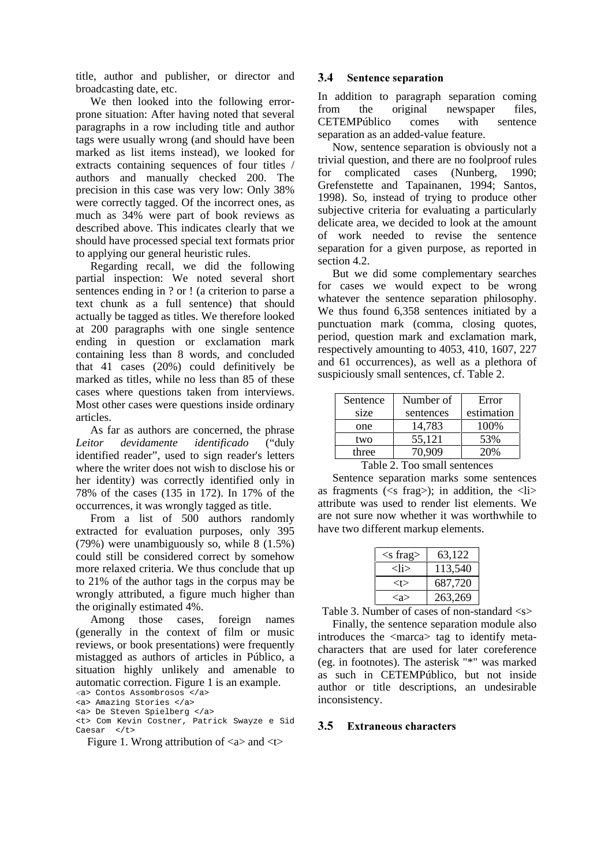title, author and publisher, or director and broadcasting date, etc.

We then looked into the following errorprone situation: After having noted that several paragraphs in a row including title and author tags were usually wrong (and should have been marked as list items instead), we looked for extracts containing sequences of four titles / authors and manually checked 200. The precision in this case was very low: Only 38% were correctly tagged. Of the incorrect ones, as much as 34% were part of book reviews as described above. This indicates clearly that we should have processed special text formats prior to applying our general heuristic rules.

Regarding recall, we did the following partial inspection: We noted several short sentences ending in ? or ! (a criterion to parse a text chunk as a full sentence) that should actually be tagged as titles. We therefore looked at 200 paragraphs with one single sentence ending in question or exclamation mark containing less than 8 words, and concluded that 41 cases (20%) could definitively be marked as titles, while no less than 85 of these cases where questions taken from interviews. Most other cases were questions inside ordinary articles.

As far as authors are concerned, the phrase *Leitor devidamente identificado* ("duly identified reader", used to sign reader's letters where the writer does not wish to disclose his or her identity) was correctly identified only in 78% of the cases (135 in 172). In 17% of the occurrences, it was wrongly tagged as title.

From a list of 500 authors randomly extracted for evaluation purposes, only 395 (79%) were unambiguously so, while 8 (1.5%) could still be considered correct by somehow more relaxed criteria. We thus conclude that up to 21% of the author tags in the corpus may be wrongly attributed, a figure much higher than the originally estimated 4%.

Among those cases, foreign names (generally in the context of film or music reviews, or book presentations) were frequently mistagged as authors of articles in Público, a situation highly unlikely and amenable to automatic correction. Figure 1 is an example.

a> Contos Assombrosos </a>

#### Figure 1. Wrong attribution of  $\langle a \rangle$  and  $\langle t \rangle$

#### **3.4** Sentence separation

In addition to paragraph separation coming from the original newspaper files, CETEMPúblico comes with sentence separation as an added-value feature.

Now, sentence separation is obviously not a trivial question, and there are no foolproof rules for complicated cases (Nunberg, 1990; Grefenstette and Tapainanen, 1994; Santos, 1998). So, instead of trying to produce other subjective criteria for evaluating a particularly delicate area, we decided to look at the amount of work needed to revise the sentence separation for a given purpose, as reported in section 4.2.

But we did some complementary searches for cases we would expect to be wrong whatever the sentence separation philosophy. We thus found 6,358 sentences initiated by a punctuation mark (comma, closing quotes, period, question mark and exclamation mark, respectively amounting to 4053, 410, 1607, 227 and 61 occurrences), as well as a plethora of suspiciously small sentences, cf. Table 2.

| Sentence | Number of | Error      |
|----------|-----------|------------|
| size     | sentences | estimation |
| one      | 14,783    | 100\%      |
| two      | 55,121    | 53%        |
| three    | 70.909    | 20%        |

Table 2. Too small sentences

Sentence separation marks some sentences as fragments ( $\leq s$  frag $\geq$ ); in addition, the  $\leq l$ i $\geq$ attribute was used to render list elements. We are not sure now whether it was worthwhile to have two different markup elements.

| $<$ s frag $>$ | 63,122  |
|----------------|---------|
| <li></li>      | 113,540 |
| <t></t>        | 687,720 |
| <ล>            | 263,269 |

Table 3. Number of cases of non-standard  $\langle s \rangle$ 

Finally, the sentence separation module also introduces the <marca> tag to identify metacharacters that are used for later coreference (eg. in footnotes). The asterisk "\*" was marked as such in CETEMPúblico, but not inside author or title descriptions, an undesirable inconsistency.

#### 3.5 Extraneous characters

<sup>&</sup>lt;a> Amazing Stories </a>

<sup>&</sup>lt;a> De Steven Spielberg </a>

<sup>&</sup>lt;t> Com Kevin Costner, Patrick Swayze e Sid Caesar </t>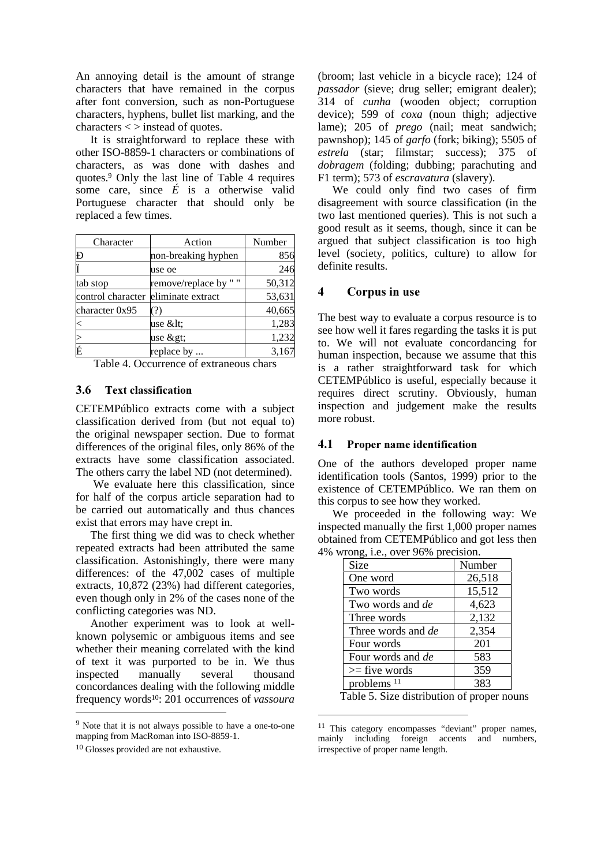An annoying detail is the amount of strange characters that have remained in the corpus after font conversion, such as non-Portuguese characters, hyphens, bullet list marking, and the characters < > instead of quotes.

It is straightforward to replace these with other ISO-8859-1 characters or combinations of characters, as was done with dashes and quotes. <sup>9</sup> Only the last line of Table 4 requires some care, since  $\acute{E}$  is a otherwise valid Portuguese character that should only be replaced a few times.

| Character              | Action              | Number |
|------------------------|---------------------|--------|
| Ð                      | non-breaking hyphen | 856    |
|                        | use oe              | 246    |
| tab stop               | remove/replace by   | 50,312 |
| control character      | eliminate extract   | 53,631 |
| character 0x95         | 7)                  | 40,665 |
|                        | use <:              | 1,283  |
|                        | use $\&$ gt;        | 1,232  |
| É                      | replace by          | 3,167  |
| <b>m</b> 1 1<br>$\sim$ |                     |        |

Table 4. Occurrence of extraneous chars

#### 3.6 Text classification

CETEMPúblico extracts come with a subject classification derived from (but not equal to) the original newspaper section. Due to format differences of the original files, only 86% of the extracts have some classification associated. The others carry the label ND (not determined).

We evaluate here this classification, since for half of the corpus article separation had to be carried out automatically and thus chances exist that errors may have crept in.

The first thing we did was to check whether repeated extracts had been attributed the same classification. Astonishingly, there were many differences: of the 47,002 cases of multiple extracts, 10,872 (23%) had different categories, even though only in 2% of the cases none of the conflicting categories was ND.

Another experiment was to look at wellknown polysemic or ambiguous items and see whether their meaning correlated with the kind of text it was purported to be in. We thus inspected manually several thousand concordances dealing with the following middle frequency words 10 : 201 occurrences of *vassoura* -

(broom; last vehicle in a bicycle race); 124 of *passador* (sieve; drug seller; emigrant dealer); 314 of *cunha* (wooden object; corruption device); 599 of *coxa* (noun thigh; adjective lame); 205 of *prego* (nail; meat sandwich; pawnshop); 145 of *garfo* (fork; biking); 5505 of *estrela* (star; filmstar; success); 375 of *dobragem* (folding; dubbing; parachuting and F1 term); 573 of *escravatura* (slavery).

We could only find two cases of firm disagreement with source classification (in the two last mentioned queries). This is not such a good result as it seems, though, since it can be argued that subject classification is too high level (society, politics, culture) to allow for definite results.

# 4 Corpus in use

The best way to evaluate a corpus resource is to see how well it fares regarding the tasks it is put to. We will not evaluate concordancing for human inspection, because we assume that this is a rather straightforward task for which CETEMPúblico is useful, especially because it requires direct scrutiny. Obviously, human inspection and judgement make the results more robust.

#### 4.1 Proper name identification

One of the authors developed proper name identification tools (Santos, 1999) prior to the existence of CETEMPúblico. We ran them on this corpus to see how they worked.

We proceeded in the following way: We inspected manually the first 1,000 proper names obtained from CETEMPúblico and got less then 4% wrong, i.e., over 96% precision.

| Size                      | Number |  |  |
|---------------------------|--------|--|--|
| One word                  | 26,518 |  |  |
| Two words                 | 15,512 |  |  |
| Two words and de          | 4,623  |  |  |
| Three words               | 2,132  |  |  |
| Three words and <i>de</i> | 2,354  |  |  |
| Four words                | 201    |  |  |
| Four words and <i>de</i>  | 583    |  |  |
| $\ge$ five words          | 359    |  |  |
| problems $11$             | 383    |  |  |

Table 5. Size distribution of proper nouns

<sup>9</sup> Note that it is not always possible to have a one-to-one mapping from MacRoman into ISO-8859-1.

<sup>10</sup> Glosses provided are not exhaustive.

<sup>11</sup> This category encompasses "deviant" proper names, mainly including foreign accents and numbers, irrespective of proper name length.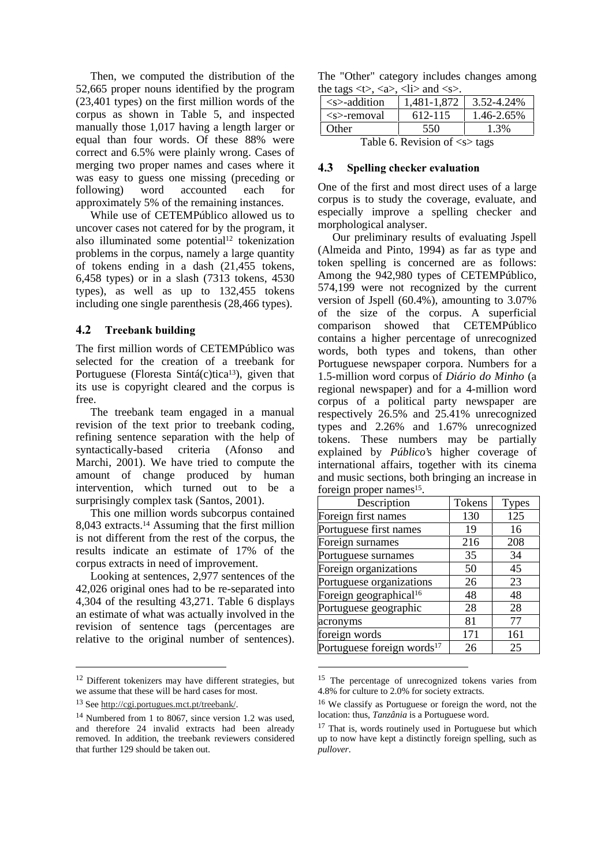Then, we computed the distribution of the 52,665 proper nouns identified by the program (23,401 types) on the first million words of the corpus as shown in Table 5, and inspected manually those 1,017 having a length larger or equal than four words. Of these 88% were correct and 6.5% were plainly wrong. Cases of merging two proper names and cases where it was easy to guess one missing (preceding or following) word accounted each for approximately 5% of the remaining instances.

While use of CETEMPúblico allowed us to uncover cases not catered for by the program, it also illuminated some potential 12 tokenization problems in the corpus, namely a large quantity of tokens ending in a dash (21,455 tokens, 6,458 types) or in a slash (7313 tokens, 4530 types), as well as up to 132,455 tokens including one single parenthesis (28,466 types).

## 4.2 Treebank building

The first million words of CETEMPúblico was selected for the creation of a treebank for Portuguese (Floresta Sintá(c)tica<sup>13</sup>), given that its use is copyright cleared and the corpus is free.

The treebank team engaged in a manual revision of the text prior to treebank coding, refining sentence separation with the help of syntactically-based criteria (Afonso and Marchi, 2001). We have tried to compute the amount of change produced by human intervention, which turned out to be a surprisingly complex task (Santos, 2001).

This one million words subcorpus contained 8,043 extracts. <sup>14</sup> Assuming that the first million is not different from the rest of the corpus, the results indicate an estimate of 17% of the corpus extracts in need of improvement.

Looking at sentences, 2,977 sentences of the 42,026 original ones had to be re-separated into 4,304 of the resulting 43,271. Table 6 displays an estimate of what was actually involved in the revision of sentence tags (percentages are relative to the original number of sentences).

-

The "Other" category includes changes among the tags  $\langle t \rangle$ ,  $\langle a \rangle$ ,  $\langle l \rangle$  and  $\langle s \rangle$ .

| $\cdots$                                      |             |            |  |
|-----------------------------------------------|-------------|------------|--|
| $\leq$ s>-addition                            | 1,481-1,872 | 3.52-4.24% |  |
| $\leq$ s>-removal                             | 612-115     | 1.46-2.65% |  |
| Other                                         | 550         | 1.3%       |  |
| Table 6. Revision of $\langle s \rangle$ tags |             |            |  |

### 4.3 Spelling checker evaluation

One of the first and most direct uses of a large corpus is to study the coverage, evaluate, and especially improve a spelling checker and morphological analyser.

Our preliminary results of evaluating Jspell (Almeida and Pinto, 1994) as far as type and token spelling is concerned are as follows: Among the 942,980 types of CETEMPúblico, 574,199 were not recognized by the current version of Jspell (60.4%), amounting to 3.07% of the size of the corpus. A superficial comparison showed that CETEMPúblico contains a higher percentage of unrecognized words, both types and tokens, than other Portuguese newspaper corpora. Numbers for a 1.5-million word corpus of *Diário do Minho* (a regional newspaper) and for a 4-million word corpus of a political party newspaper are respectively 26.5% and 25.41% unrecognized types and 2.26% and 1.67% unrecognized tokens. These numbers may be partially explained by *Público*'s higher coverage of international affairs, together with its cinema and music sections, both bringing an increase in foreign proper names<sup>15</sup>.

| Description                            | Tokens | <b>Types</b> |
|----------------------------------------|--------|--------------|
| Foreign first names                    | 130    | 125          |
| Portuguese first names                 | 19     | 16           |
| Foreign surnames                       | 216    | 208          |
| Portuguese surnames                    | 35     | 34           |
| Foreign organizations                  | 50     | 45           |
| Portuguese organizations               | 26     | 23           |
| Foreign geographical <sup>16</sup>     | 48     | 48           |
| Portuguese geographic                  | 28     | 28           |
| acronyms                               | 81     | 77           |
| foreign words                          | 171    | 161          |
| Portuguese foreign words <sup>17</sup> | 26     | 25           |

<sup>&</sup>lt;sup>15</sup> The percentage of unrecognized tokens varies from 4.8% for culture to 2.0% for society extracts.

1

<sup>&</sup>lt;sup>12</sup> Different tokenizers may have different strategies, but we assume that these will be hard cases for most.

<sup>13</sup> See http://cgi.portugues.mct.pt/treebank/.

<sup>14</sup> Numbered from 1 to 8067, since version 1.2 was used, and therefore 24 invalid extracts had been already removed. In addition, the treebank reviewers considered that further 129 should be taken out.

<sup>16</sup> We classify as Portuguese or foreign the word, not the location: thus, *Tanzânia* is a Portuguese word.

<sup>&</sup>lt;sup>17</sup> That is, words routinely used in Portuguese but which up to now have kept a distinctly foreign spelling, such as *pullover*.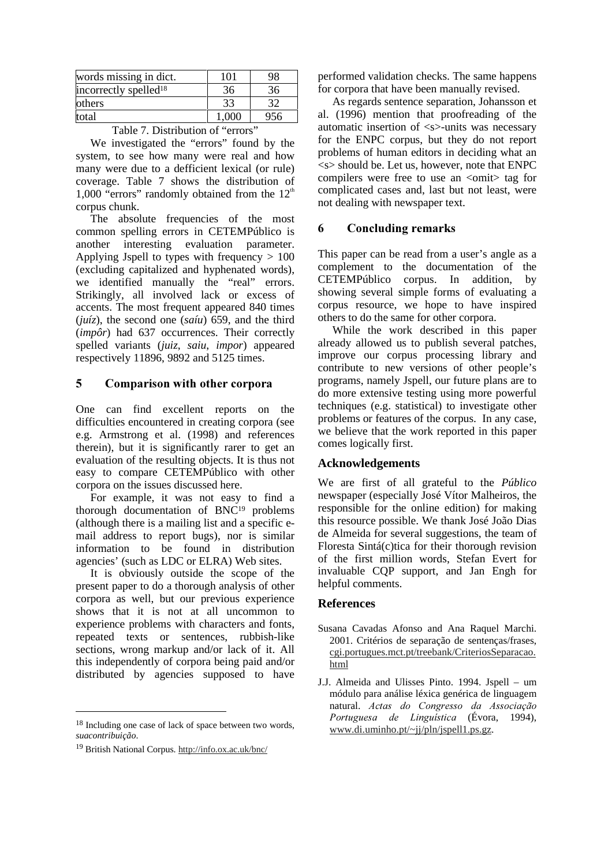| words missing in dict.            | 101   | 98  |
|-----------------------------------|-------|-----|
| incorrectly spelled <sup>18</sup> | 36    | 36  |
| <b>lothers</b>                    | 33    | 32  |
| total                             | 1,000 | 956 |

Table 7. Distribution of "errors"

We investigated the "errors" found by the system, to see how many were real and how many were due to a defficient lexical (or rule) coverage. Table 7 shows the distribution of 1,000 "errors" randomly obtained from the  $12<sup>th</sup>$ corpus chunk.

The absolute frequencies of the most common spelling errors in CETEMPúblico is another interesting evaluation parameter. Applying Jspell to types with frequency  $> 100$ (excluding capitalized and hyphenated words), we identified manually the "real" errors. Strikingly, all involved lack or excess of accents. The most frequent appeared 840 times (*juíz*), the second one (*saíu*) 659, and the third (*impôr*) had 637 occurrences. Their correctly spelled variants (*juiz*, *saiu*, *impor*) appeared respectively 11896, 9892 and 5125 times.

## 5 Comparison with other corpora

One can find excellent reports on the difficulties encountered in creating corpora (see e.g. Armstrong et al. (1998) and references therein), but it is significantly rarer to get an evaluation of the resulting objects. It is thus not easy to compare CETEMPúblico with other corpora on the issues discussed here.

For example, it was not easy to find a thorough documentation of BNC<sup>19</sup> problems (although there is a mailing list and a specific email address to report bugs), nor is similar information to be found in distribution agencies' (such as LDC or ELRA) Web sites.

It is obviously outside the scope of the present paper to do a thorough analysis of other corpora as well, but our previous experience shows that it is not at all uncommon to experience problems with characters and fonts, repeated texts or sentences, rubbish-like sections, wrong markup and/or lack of it. All this independently of corpora being paid and/or distributed by agencies supposed to have

1

performed validation checks. The same happens for corpora that have been manually revised.

As regards sentence separation, Johansson et al. (1996) mention that proofreading of the automatic insertion of <s>-units was necessary for the ENPC corpus, but they do not report problems of human editors in deciding what an  $\langle$ s $>$ should be. Let us, however, note that ENPC compilers were free to use an <omit> tag for complicated cases and, last but not least, were not dealing with newspaper text.

# 6 Concluding remarks

This paper can be read from a user's angle as a complement to the documentation of the CETEMPúblico corpus. In addition, by showing several simple forms of evaluating a corpus resource, we hope to have inspired others to do the same for other corpora.

While the work described in this paper already allowed us to publish several patches, improve our corpus processing library and contribute to new versions of other people's programs, namely Jspell, our future plans are to do more extensive testing using more powerful techniques (e.g. statistical) to investigate other problems or features of the corpus. In any case, we believe that the work reported in this paper comes logically first.

## **Acknowledgements**

We are first of all grateful to the *Público* newspaper (especially José Vítor Malheiros, the responsible for the online edition) for making this resource possible. We thank José João Dias de Almeida for several suggestions, the team of Floresta Sintá(c)tica for their thorough revision of the first million words, Stefan Evert for invaluable CQP support, and Jan Engh for helpful comments.

# **References**

<sup>&</sup>lt;sup>18</sup> Including one case of lack of space between two words, *suacontribuição*.

<sup>19</sup> British National Corpus. http://info.ox.ac.uk/bnc/

Susana Cavadas Afonso and Ana Raquel Marchi. 2001. Critérios de separação de sentenças/frases, cgi.portugues.mct.pt/treebank/CriteriosSeparacao. html

J.J. Almeida and Ulisses Pinto. 1994. Jspell – um módulo para análise léxica genérica de linguagem natural. Actas do Congresso da Associação Portuguesa de Linguística (Évora, 1994), www.di.uminho.pt/~jj/pln/jspell1.ps.gz.